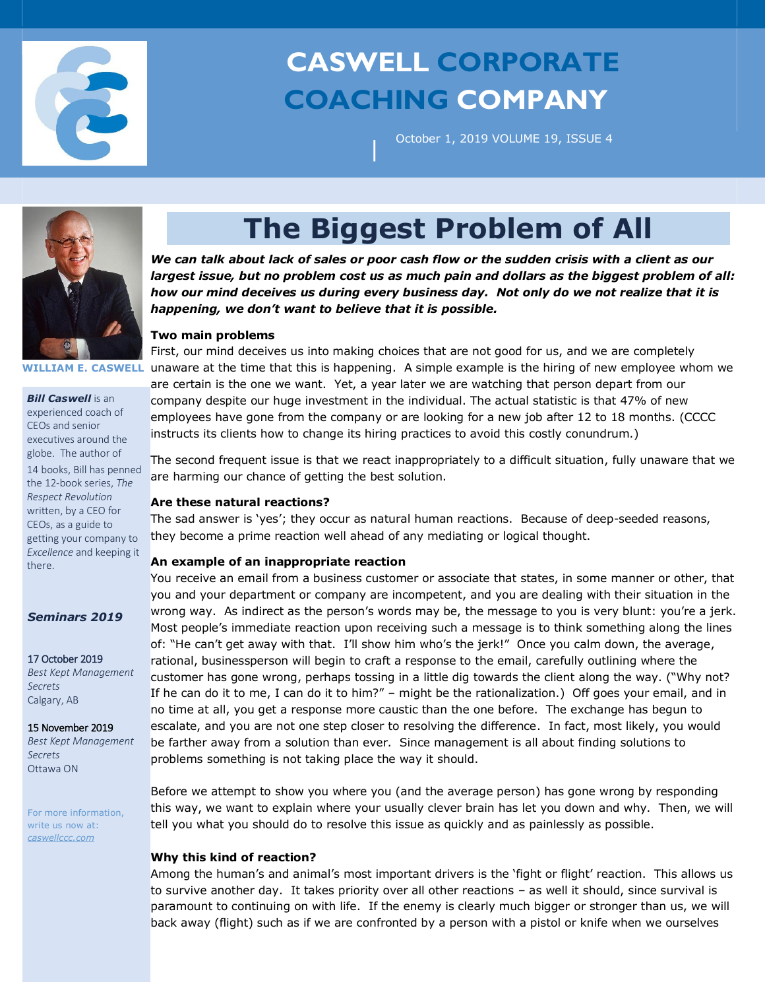

# **CASWELL CORPORATE COACHING COMPANY**

October 1, 2019 VOLUME 19, ISSUE 4



**WILLIAM E. CASWELL**

*Bill Caswell* is an experienced coach of CEOs and senior executives around the globe. The author of 14 books, Bill has penned the 12-book series, *The Respect Revolution* written, by a CEO for CEOs, as a guide to getting your company to *Excellence* and keeping it there.

## *Seminars 2019*

17 October 2019 *Best Kept Management Secrets* Calgary, AB

15 November 2019

*Best Kept Management Secrets* Ottawa ON

For more information, write us now at: *caswellccc.com*

# **The Biggest Problem of All**

|

*We can talk about lack of sales or poor cash flow or the sudden crisis with a client as our largest issue, but no problem cost us as much pain and dollars as the biggest problem of all: how our mind deceives us during every business day. Not only do we not realize that it is happening, we don't want to believe that it is possible.* 

## **Two main problems**

First, our mind deceives us into making choices that are not good for us, and we are completely unaware at the time that this is happening. A simple example is the hiring of new employee whom we are certain is the one we want. Yet, a year later we are watching that person depart from our company despite our huge investment in the individual. The actual statistic is that 47% of new employees have gone from the company or are looking for a new job after 12 to 18 months. (CCCC instructs its clients how to change its hiring practices to avoid this costly conundrum.)

The second frequent issue is that we react inappropriately to a difficult situation, fully unaware that we are harming our chance of getting the best solution.

## **Are these natural reactions?**

The sad answer is 'yes'; they occur as natural human reactions. Because of deep-seeded reasons, they become a prime reaction well ahead of any mediating or logical thought.

## **An example of an inappropriate reaction**

You receive an email from a business customer or associate that states, in some manner or other, that you and your department or company are incompetent, and you are dealing with their situation in the wrong way. As indirect as the person's words may be, the message to you is very blunt: you're a jerk. Most people's immediate reaction upon receiving such a message is to think something along the lines of: "He can't get away with that. I'll show him who's the jerk!" Once you calm down, the average, rational, businessperson will begin to craft a response to the email, carefully outlining where the customer has gone wrong, perhaps tossing in a little dig towards the client along the way. ("Why not? If he can do it to me, I can do it to him?" – might be the rationalization.) Off goes your email, and in no time at all, you get a response more caustic than the one before. The exchange has begun to escalate, and you are not one step closer to resolving the difference. In fact, most likely, you would be farther away from a solution than ever. Since management is all about finding solutions to problems something is not taking place the way it should.

Before we attempt to show you where you (and the average person) has gone wrong by responding this way, we want to explain where your usually clever brain has let you down and why. Then, we will tell you what you should do to resolve this issue as quickly and as painlessly as possible.

## **Why this kind of reaction?**

Among the human's and animal's most important drivers is the 'fight or flight' reaction. This allows us to survive another day. It takes priority over all other reactions – as well it should, since survival is paramount to continuing on with life. If the enemy is clearly much bigger or stronger than us, we will back away (flight) such as if we are confronted by a person with a pistol or knife when we ourselves